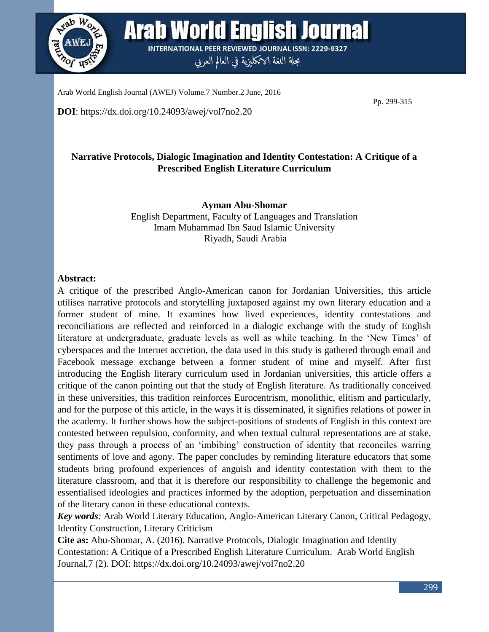

**Arab World English Journal INTERNATIONAL PEER REVIEWED JOURNAL ISSN: 2229-9327** 

مجلة اللغة الانكليزية في العالم العربي

Arab World English Journal (AWEJ) Volume.7 Number.2 June, 2016

**DOI**: https://dx.doi.org/10.24093/awej/vol7no2.20

Pp. 299-315

# **Narrative Protocols, Dialogic Imagination and Identity Contestation: A Critique of a Prescribed English Literature Curriculum**

**Ayman Abu-Shomar** English Department, Faculty of Languages and Translation Imam Muhammad Ibn Saud Islamic University Riyadh, Saudi Arabia

# **Abstract:**

A critique of the prescribed Anglo-American canon for Jordanian Universities, this article utilises narrative protocols and storytelling juxtaposed against my own literary education and a former student of mine. It examines how lived experiences, identity contestations and reconciliations are reflected and reinforced in a dialogic exchange with the study of English literature at undergraduate, graduate levels as well as while teaching. In the 'New Times' of cyberspaces and the Internet accretion, the data used in this study is gathered through email and Facebook message exchange between a former student of mine and myself. After first introducing the English literary curriculum used in Jordanian universities, this article offers a critique of the canon pointing out that the study of English literature. As traditionally conceived in these universities, this tradition reinforces Eurocentrism, monolithic, elitism and particularly, and for the purpose of this article, in the ways it is disseminated, it signifies relations of power in the academy. It further shows how the subject-positions of students of English in this context are contested between repulsion, conformity, and when textual cultural representations are at stake, they pass through a process of an 'imbibing' construction of identity that reconciles warring sentiments of love and agony. The paper concludes by reminding literature educators that some students bring profound experiences of anguish and identity contestation with them to the literature classroom, and that it is therefore our responsibility to challenge the hegemonic and essentialised ideologies and practices informed by the adoption, perpetuation and dissemination of the literary canon in these educational contexts.

*Key words:* Arab World Literary Education, Anglo-American Literary Canon, Critical Pedagogy, Identity Construction, Literary Criticism

**Cite as:** Abu-Shomar, A. (2016). Narrative Protocols, Dialogic Imagination and Identity Contestation: A Critique of a Prescribed English Literature Curriculum. Arab World English Journal,7 (2). DOI: https://dx.doi.org/10.24093/awej/vol7no2.20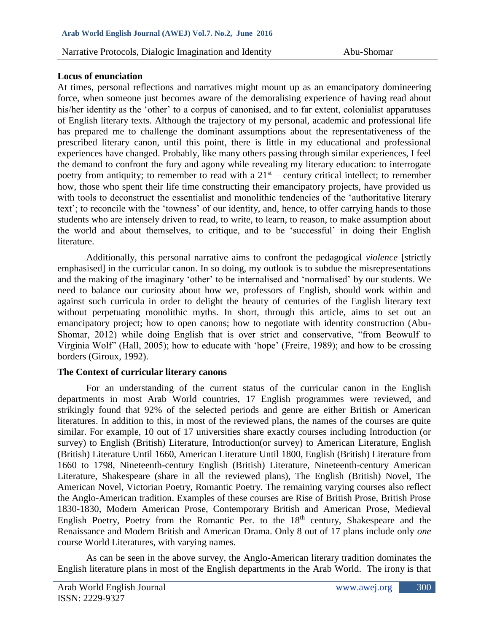## **Locus of enunciation**

At times, personal reflections and narratives might mount up as an emancipatory domineering force, when someone just becomes aware of the demoralising experience of having read about his/her identity as the 'other' to a corpus of canonised, and to far extent, colonialist apparatuses of English literary texts. Although the trajectory of my personal, academic and professional life has prepared me to challenge the dominant assumptions about the representativeness of the prescribed literary canon, until this point, there is little in my educational and professional experiences have changed. Probably, like many others passing through similar experiences, I feel the demand to confront the fury and agony while revealing my literary education: to interrogate poetry from antiquity; to remember to read with a  $21<sup>st</sup>$  – century critical intellect; to remember how, those who spent their life time constructing their emancipatory projects, have provided us with tools to deconstruct the essentialist and monolithic tendencies of the 'authoritative literary text'; to reconcile with the 'towness' of our identity, and, hence, to offer carrying hands to those students who are intensely driven to read, to write, to learn, to reason, to make assumption about the world and about themselves, to critique, and to be 'successful' in doing their English literature.

Additionally, this personal narrative aims to confront the pedagogical *violence* [strictly emphasised] in the curricular canon. In so doing, my outlook is to subdue the misrepresentations and the making of the imaginary 'other' to be internalised and 'normalised' by our students. We need to balance our curiosity about how we, professors of English, should work within and against such curricula in order to delight the beauty of centuries of the English literary text without perpetuating monolithic myths. In short, through this article, aims to set out an emancipatory project; how to open canons; how to negotiate with identity construction (Abu-Shomar, 2012) while doing English that is over strict and conservative, "from Beowulf to Virginia Wolf" (Hall, 2005); how to educate with 'hope' (Freire, 1989); and how to be crossing borders (Giroux, 1992).

## **The Context of curricular literary canons**

For an understanding of the current status of the curricular canon in the English departments in most Arab World countries, 17 English programmes were reviewed, and strikingly found that 92% of the selected periods and genre are either British or American literatures. In addition to this, in most of the reviewed plans, the names of the courses are quite similar. For example, 10 out of 17 universities share exactly courses including Introduction (or survey) to English (British) Literature, Introduction(or survey) to American Literature, English (British) Literature Until 1660, American Literature Until 1800, English (British) Literature from 1660 to 1798, Nineteenth-century English (British) Literature, Nineteenth-century American Literature, Shakespeare (share in all the reviewed plans), The English (British) Novel, The American Novel, Victorian Poetry, Romantic Poetry. The remaining varying courses also reflect the Anglo-American tradition. Examples of these courses are Rise of British Prose, British Prose 1830-1830, Modern American Prose, Contemporary British and American Prose, Medieval English Poetry, Poetry from the Romantic Per. to the  $18<sup>th</sup>$  century, Shakespeare and the Renaissance and Modern British and American Drama. Only 8 out of 17 plans include only *one* course World Literatures, with varying names.

As can be seen in the above survey, the Anglo-American literary tradition dominates the English literature plans in most of the English departments in the Arab World. The irony is that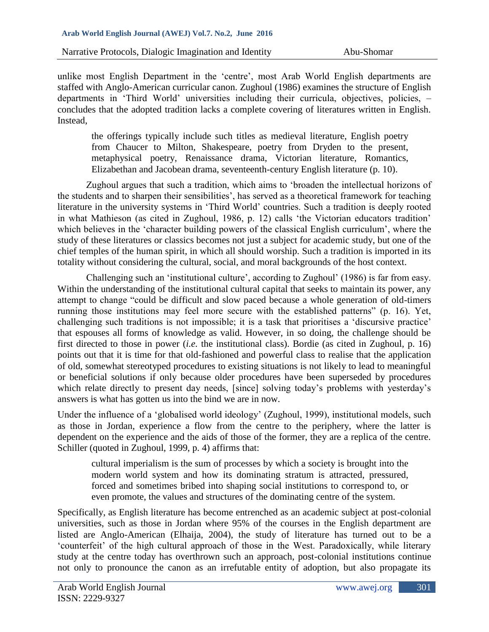unlike most English Department in the 'centre', most Arab World English departments are staffed with Anglo-American curricular canon. Zughoul (1986) examines the structure of English departments in 'Third World' universities including their curricula, objectives, policies, – concludes that the adopted tradition lacks a complete covering of literatures written in English. Instead,

the offerings typically include such titles as medieval literature, English poetry from Chaucer to Milton, Shakespeare, poetry from Dryden to the present, metaphysical poetry, Renaissance drama, Victorian literature, Romantics, Elizabethan and Jacobean drama, seventeenth-century English literature (p. 10).

Zughoul argues that such a tradition, which aims to 'broaden the intellectual horizons of the students and to sharpen their sensibilities', has served as a theoretical framework for teaching literature in the university systems in 'Third World' countries. Such a tradition is deeply rooted in what Mathieson (as cited in Zughoul, 1986, p. 12) calls 'the Victorian educators tradition' which believes in the 'character building powers of the classical English curriculum', where the study of these literatures or classics becomes not just a subject for academic study, but one of the chief temples of the human spirit, in which all should worship. Such a tradition is imported in its totality without considering the cultural, social, and moral backgrounds of the host context.

Challenging such an 'institutional culture', according to Zughoul' (1986) is far from easy. Within the understanding of the institutional cultural capital that seeks to maintain its power, any attempt to change "could be difficult and slow paced because a whole generation of old-timers running those institutions may feel more secure with the established patterns" (p. 16). Yet, challenging such traditions is not impossible; it is a task that prioritises a 'discursive practice' that espouses all forms of knowledge as valid. However, in so doing, the challenge should be first directed to those in power (*i.e.* the institutional class). Bordie (as cited in Zughoul, p. 16) points out that it is time for that old-fashioned and powerful class to realise that the application of old, somewhat stereotyped procedures to existing situations is not likely to lead to meaningful or beneficial solutions if only because older procedures have been superseded by procedures which relate directly to present day needs, [since] solving today's problems with yesterday's answers is what has gotten us into the bind we are in now.

Under the influence of a 'globalised world ideology' (Zughoul, 1999), institutional models, such as those in Jordan, experience a flow from the centre to the periphery, where the latter is dependent on the experience and the aids of those of the former, they are a replica of the centre. Schiller (quoted in Zughoul, 1999, p. 4) affirms that:

cultural imperialism is the sum of processes by which a society is brought into the modern world system and how its dominating stratum is attracted, pressured, forced and sometimes bribed into shaping social institutions to correspond to, or even promote, the values and structures of the dominating centre of the system.

Specifically, as English literature has become entrenched as an academic subject at post-colonial universities, such as those in Jordan where 95% of the courses in the English department are listed are Anglo-American (Elhaija, 2004), the study of literature has turned out to be a 'counterfeit' of the high cultural approach of those in the West. Paradoxically, while literary study at the centre today has overthrown such an approach, post-colonial institutions continue not only to pronounce the canon as an irrefutable entity of adoption, but also propagate its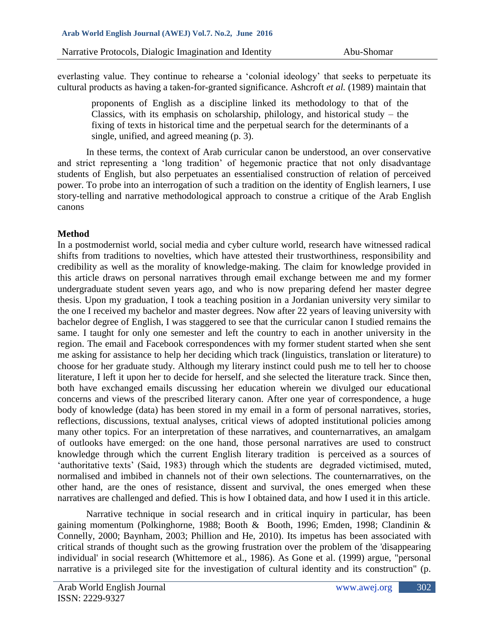everlasting value. They continue to rehearse a 'colonial ideology' that seeks to perpetuate its cultural products as having a taken-for-granted significance. Ashcroft *et al.* (1989) maintain that

proponents of English as a discipline linked its methodology to that of the Classics, with its emphasis on scholarship, philology, and historical study – the fixing of texts in historical time and the perpetual search for the determinants of a single, unified, and agreed meaning (p. 3).

In these terms, the context of Arab curricular canon be understood, an over conservative and strict representing a 'long tradition' of hegemonic practice that not only disadvantage students of English, but also perpetuates an essentialised construction of relation of perceived power. To probe into an interrogation of such a tradition on the identity of English learners, I use story-telling and narrative methodological approach to construe a critique of the Arab English canons

# **Method**

In a postmodernist world, social media and cyber culture world, research have witnessed radical shifts from traditions to novelties, which have attested their trustworthiness, responsibility and credibility as well as the morality of knowledge-making. The claim for knowledge provided in this article draws on personal narratives through email exchange between me and my former undergraduate student seven years ago, and who is now preparing defend her master degree thesis. Upon my graduation, I took a teaching position in a Jordanian university very similar to the one I received my bachelor and master degrees. Now after 22 years of leaving university with bachelor degree of English, I was staggered to see that the curricular canon I studied remains the same. I taught for only one semester and left the country to each in another university in the region. The email and Facebook correspondences with my former student started when she sent me asking for assistance to help her deciding which track (linguistics, translation or literature) to choose for her graduate study. Although my literary instinct could push me to tell her to choose literature, I left it upon her to decide for herself, and she selected the literature track. Since then, both have exchanged emails discussing her education wherein we divulged our educational concerns and views of the prescribed literary canon. After one year of correspondence, a huge body of knowledge (data) has been stored in my email in a form of personal narratives, stories, reflections, discussions, textual analyses, critical views of adopted institutional policies among many other topics. For an interpretation of these narratives, and counternarratives, an amalgam of outlooks have emerged: on the one hand, those personal narratives are used to construct knowledge through which the current English literary tradition is perceived as a sources of 'authoritative texts' (Said, 1983) through which the students are degraded victimised, muted, normalised and imbibed in channels not of their own selections. The counternarratives, on the other hand, are the ones of resistance, dissent and survival, the ones emerged when these narratives are challenged and defied. This is how I obtained data, and how I used it in this article.

Narrative technique in social research and in critical inquiry in particular, has been gaining momentum (Polkinghorne, 1988; Booth & Booth, 1996; Emden, 1998; Clandinin & Connelly, 2000; Baynham, 2003; Phillion and He, 2010). Its impetus has been associated with critical strands of thought such as the growing frustration over the problem of the 'disappearing individual' in social research (Whittemore et al., 1986). As Gone et al. (1999) argue, "personal narrative is a privileged site for the investigation of cultural identity and its construction" (p.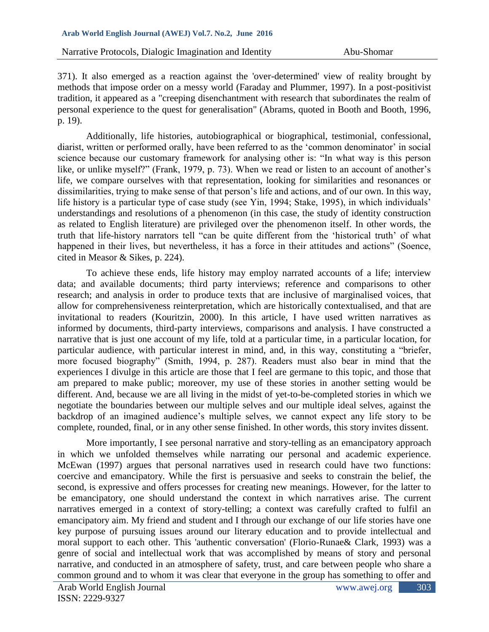371). It also emerged as a reaction against the 'over-determined' view of reality brought by methods that impose order on a messy world (Faraday and Plummer, 1997). In a post-positivist tradition, it appeared as a "creeping disenchantment with research that subordinates the realm of personal experience to the quest for generalisation" (Abrams, quoted in Booth and Booth, 1996, p. 19).

Additionally, life histories, autobiographical or biographical, testimonial, confessional, diarist, written or performed orally, have been referred to as the 'common denominator' in social science because our customary framework for analysing other is: "In what way is this person like, or unlike myself?" (Frank, 1979, p. 73). When we read or listen to an account of another's life, we compare ourselves with that representation, looking for similarities and resonances or dissimilarities, trying to make sense of that person's life and actions, and of our own. In this way, life history is a particular type of case study (see Yin, 1994; Stake, 1995), in which individuals' understandings and resolutions of a phenomenon (in this case, the study of identity construction as related to English literature) are privileged over the phenomenon itself. In other words, the truth that life-history narrators tell "can be quite different from the 'historical truth' of what happened in their lives, but nevertheless, it has a force in their attitudes and actions" (Soence, cited in Measor & Sikes, p. 224).

To achieve these ends, life history may employ narrated accounts of a life; interview data; and available documents; third party interviews; reference and comparisons to other research; and analysis in order to produce texts that are inclusive of marginalised voices, that allow for comprehensiveness reinterpretation, which are historically contextualised, and that are invitational to readers (Kouritzin, 2000). In this article, I have used written narratives as informed by documents, third-party interviews, comparisons and analysis. I have constructed a narrative that is just one account of my life, told at a particular time, in a particular location, for particular audience, with particular interest in mind, and, in this way, constituting a "briefer, more focused biography" (Smith, 1994, p. 287). Readers must also bear in mind that the experiences I divulge in this article are those that I feel are germane to this topic, and those that am prepared to make public; moreover, my use of these stories in another setting would be different. And, because we are all living in the midst of yet-to-be-completed stories in which we negotiate the boundaries between our multiple selves and our multiple ideal selves, against the backdrop of an imagined audience's multiple selves, we cannot expect any life story to be complete, rounded, final, or in any other sense finished. In other words, this story invites dissent.

More importantly, I see personal narrative and story-telling as an emancipatory approach in which we unfolded themselves while narrating our personal and academic experience. McEwan (1997) argues that personal narratives used in research could have two functions: coercive and emancipatory. While the first is persuasive and seeks to constrain the belief, the second, is expressive and offers processes for creating new meanings. However, for the latter to be emancipatory, one should understand the context in which narratives arise. The current narratives emerged in a context of story-telling; a context was carefully crafted to fulfil an emancipatory aim. My friend and student and I through our exchange of our life stories have one key purpose of pursuing issues around our literary education and to provide intellectual and moral support to each other. This 'authentic conversation' (Florio-Runae& Clark, 1993) was a genre of social and intellectual work that was accomplished by means of story and personal narrative, and conducted in an atmosphere of safety, trust, and care between people who share a common ground and to whom it was clear that everyone in the group has something to offer and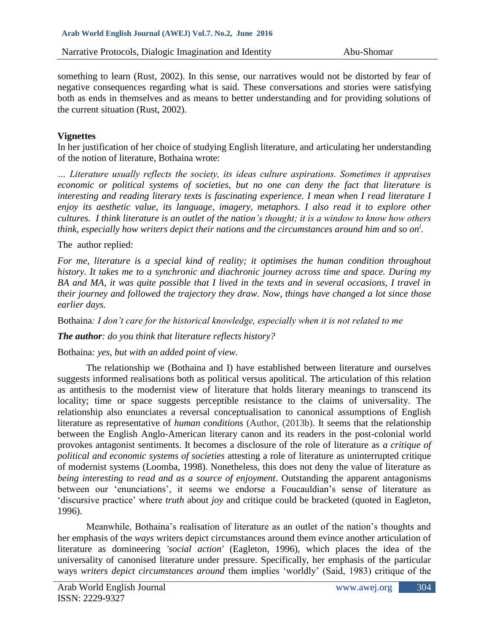something to learn (Rust, 2002). In this sense, our narratives would not be distorted by fear of negative consequences regarding what is said. These conversations and stories were satisfying both as ends in themselves and as means to better understanding and for providing solutions of the current situation (Rust, 2002).

# **Vignettes**

In her justification of her choice of studying English literature, and articulating her understanding of the notion of literature, Bothaina wrote:

*… Literature usually reflects the society, its ideas culture aspirations. Sometimes it appraises economic or political systems of societies, but no one can deny the fact that literature is interesting and reading literary texts is fascinating experience. I mean when I read literature I enjoy its aesthetic value, its language, imagery, metaphors. I also read it to explore other cultures. I think literature is an outlet of the nation's thought; it is a window to know how others think, especially how writers depict their nations and the circumstances around him and so on<sup>i</sup> .*

## The author replied:

*For me, literature is a special kind of reality; it optimises the human condition throughout history. It takes me to a synchronic and diachronic journey across time and space. During my BA and MA, it was quite possible that I lived in the texts and in several occasions, I travel in their journey and followed the trajectory they draw. Now, things have changed a lot since those earlier days.* 

Bothaina*: I don't care for the historical knowledge, especially when it is not related to me* 

*The author: do you think that literature reflects history?*

Bothaina*: yes, but with an added point of view.* 

The relationship we (Bothaina and I) have established between literature and ourselves suggests informed realisations both as political versus apolitical. The articulation of this relation as antithesis to the modernist view of literature that holds literary meanings to transcend its locality; time or space suggests perceptible resistance to the claims of universality. The relationship also enunciates a reversal conceptualisation to canonical assumptions of English literature as representative of *human conditions* (Author, (2013b). It seems that the relationship between the English Anglo-American literary canon and its readers in the post-colonial world provokes antagonist sentiments. It becomes a disclosure of the role of literature as *a critique of political and economic systems of societies* attesting a role of literature as uninterrupted critique of modernist systems (Loomba, 1998). Nonetheless, this does not deny the value of literature as *being interesting to read and as a source of enjoyment*. Outstanding the apparent antagonisms between our 'enunciations', it seems we endorse a Foucauldian's sense of literature as 'discursive practice' where *truth* about *joy* and critique could be bracketed (quoted in Eagleton, 1996).

Meanwhile, Bothaina's realisation of literature as an outlet of the nation's thoughts and her emphasis of the *ways* writers depict circumstances around them evince another articulation of literature as domineering *'social action'* (Eagleton, 1996), which places the idea of the universality of canonised literature under pressure. Specifically, her emphasis of the particular ways *writers depict circumstances around* them implies 'worldly' (Said, 1983) critique of the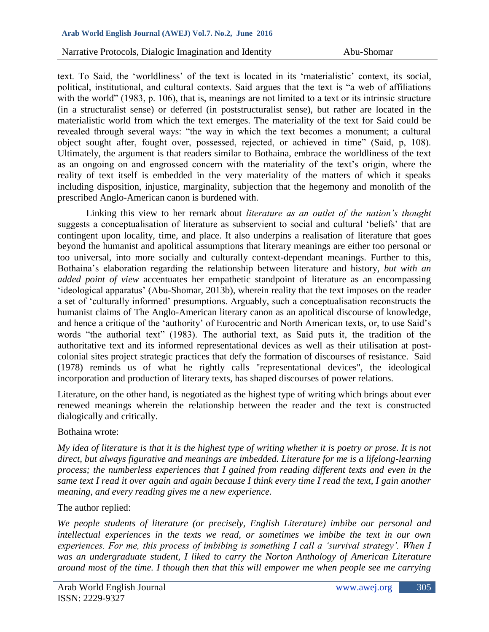text. To Said, the 'worldliness' of the text is located in its 'materialistic' context, its social, political, institutional, and cultural contexts. Said argues that the text is "a web of affiliations with the world" (1983, p. 106), that is, meanings are not limited to a text or its intrinsic structure (in a structuralist sense) or deferred (in poststructuralist sense), but rather are located in the materialistic world from which the text emerges. The materiality of the text for Said could be revealed through several ways: "the way in which the text becomes a monument; a cultural object sought after, fought over, possessed, rejected, or achieved in time" (Said, p, 108). Ultimately, the argument is that readers similar to Bothaina, embrace the worldliness of the text as an ongoing on and engrossed concern with the materiality of the text's origin, where the reality of text itself is embedded in the very materiality of the matters of which it speaks including disposition, injustice, marginality, subjection that the hegemony and monolith of the prescribed Anglo-American canon is burdened with.

Linking this view to her remark about *literature as an outlet of the nation's thought* suggests a conceptualisation of literature as subservient to social and cultural 'beliefs' that are contingent upon locality, time, and place. It also underpins a realisation of literature that goes beyond the humanist and apolitical assumptions that literary meanings are either too personal or too universal, into more socially and culturally context-dependant meanings. Further to this, Bothaina's elaboration regarding the relationship between literature and history, *but with an added point of view* accentuates her empathetic standpoint of literature as an encompassing 'ideological apparatus' (Abu-Shomar, 2013b), wherein reality that the text imposes on the reader a set of 'culturally informed' presumptions. Arguably, such a conceptualisation reconstructs the humanist claims of The Anglo-American literary canon as an apolitical discourse of knowledge, and hence a critique of the 'authority' of Eurocentric and North American texts, or, to use Said's words "the authorial text" (1983). The authorial text, as Said puts it, the tradition of the authoritative text and its informed representational devices as well as their utilisation at postcolonial sites project strategic practices that defy the formation of discourses of resistance. Said (1978) reminds us of what he rightly calls "representational devices", the ideological incorporation and production of literary texts, has shaped discourses of power relations.

Literature, on the other hand, is negotiated as the highest type of writing which brings about ever renewed meanings wherein the relationship between the reader and the text is constructed dialogically and critically.

## Bothaina wrote:

*My idea of literature is that it is the highest type of writing whether it is poetry or prose. It is not direct, but always figurative and meanings are imbedded. Literature for me is a lifelong-learning process; the numberless experiences that I gained from reading different texts and even in the same text I read it over again and again because I think every time I read the text, I gain another meaning, and every reading gives me a new experience.*

# The author replied:

*We people students of literature (or precisely, English Literature) imbibe our personal and intellectual experiences in the texts we read, or sometimes we imbibe the text in our own experiences. For me, this process of imbibing is something I call a 'survival strategy'. When I was an undergraduate student, I liked to carry the Norton Anthology of American Literature around most of the time. I though then that this will empower me when people see me carrying*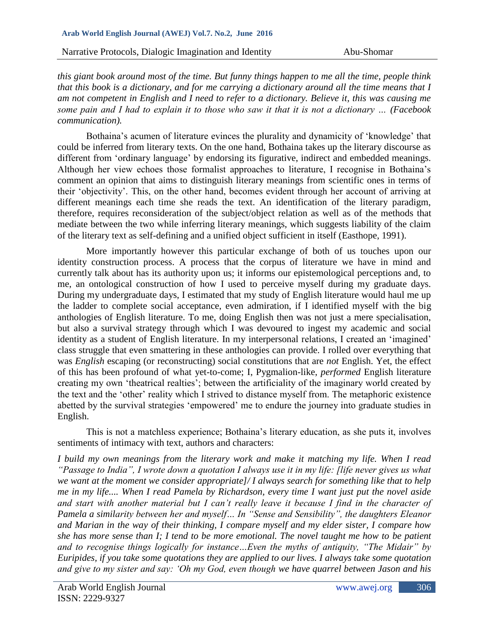#### **Arab World English Journal (AWEJ) Vol.7. No.2, June 2016**

Narrative Protocols, Dialogic Imagination and Identity Abu-Shomar

*this giant book around most of the time. But funny things happen to me all the time, people think that this book is a dictionary, and for me carrying a dictionary around all the time means that I am not competent in English and I need to refer to a dictionary. Believe it, this was causing me some pain and I had to explain it to those who saw it that it is not a dictionary … (Facebook communication).* 

Bothaina's acumen of literature evinces the plurality and dynamicity of 'knowledge' that could be inferred from literary texts. On the one hand, Bothaina takes up the literary discourse as different from 'ordinary language' by endorsing its figurative, indirect and embedded meanings. Although her view echoes those formalist approaches to literature, I recognise in Bothaina's comment an opinion that aims to distinguish literary meanings from scientific ones in terms of their 'objectivity'. This, on the other hand, becomes evident through her account of arriving at different meanings each time she reads the text. An identification of the literary paradigm, therefore, requires reconsideration of the subject/object relation as well as of the methods that mediate between the two while inferring literary meanings, which suggests liability of the claim of the literary text as self-defining and a unified object sufficient in itself (Easthope, 1991).

More importantly however this particular exchange of both of us touches upon our identity construction process. A process that the corpus of literature we have in mind and currently talk about has its authority upon us; it informs our epistemological perceptions and, to me, an ontological construction of how I used to perceive myself during my graduate days. During my undergraduate days, I estimated that my study of English literature would haul me up the ladder to complete social acceptance, even admiration, if I identified myself with the big anthologies of English literature. To me, doing English then was not just a mere specialisation, but also a survival strategy through which I was devoured to ingest my academic and social identity as a student of English literature. In my interpersonal relations, I created an 'imagined' class struggle that even smattering in these anthologies can provide. I rolled over everything that was *English* escaping (or reconstructing) social constitutions that are *not* English. Yet, the effect of this has been profound of what yet-to-come; I, Pygmalion-like, *performed* English literature creating my own 'theatrical realties'; between the artificiality of the imaginary world created by the text and the 'other' reality which I strived to distance myself from. The metaphoric existence abetted by the survival strategies 'empowered' me to endure the journey into graduate studies in English.

This is not a matchless experience; Bothaina's literary education, as she puts it, involves sentiments of intimacy with text, authors and characters:

*I build my own meanings from the literary work and make it matching my life. When I read "Passage to India", I wrote down a quotation I always use it in my life: [life never gives us what we want at the moment we consider appropriate]/ I always search for something like that to help me in my life.... When I read Pamela by Richardson, every time I want just put the novel aside and start with another material but I can't really leave it because I find in the character of Pamela a similarity between her and myself… In "Sense and Sensibility", the daughters Eleanor and Marian in the way of their thinking, I compare myself and my elder sister, I compare how she has more sense than I; I tend to be more emotional. The novel taught me how to be patient and to recognise things logically for instance…Even the myths of antiquity, "The Midair" by Euripides, if you take some quotations they are applied to our lives. I always take some quotation and give to my sister and say: 'Oh my God, even though we have quarrel between Jason and his*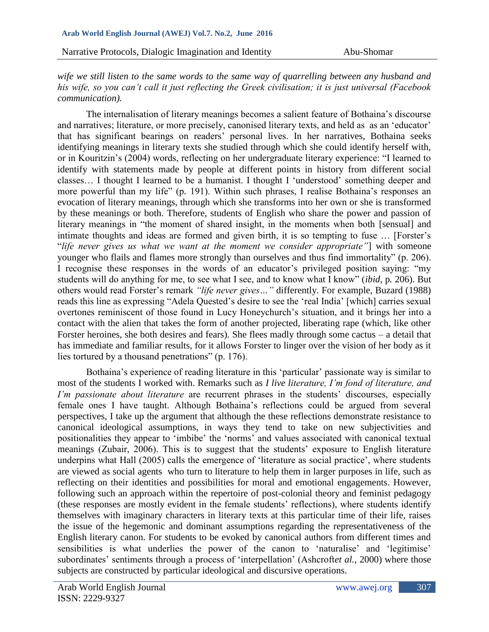*wife we still listen to the same words to the same way of quarrelling between any husband and his wife, so you can't call it just reflecting the Greek civilisation; it is just universal (Facebook communication).* 

The internalisation of literary meanings becomes a salient feature of Bothaina's discourse and narratives; literature, or more precisely, canonised literary texts, and held as as an 'educator' that has significant bearings on readers' personal lives. In her narratives, Bothaina seeks identifying meanings in literary texts she studied through which she could identify herself with, or in Kouritzin's (2004) words, reflecting on her undergraduate literary experience: "I learned to identify with statements made by people at different points in history from different social classes… I thought I learned to be a humanist. I thought I 'understood' something deeper and more powerful than my life" (p*.* 191). Within such phrases, I realise Bothaina's responses an evocation of literary meanings, through which she transforms into her own or she is transformed by these meanings or both. Therefore, students of English who share the power and passion of literary meanings in "the moment of shared insight, in the moments when both [sensual] and intimate thoughts and ideas are formed and given birth, it is so tempting to fuse … [Forster's "*life never gives us what we want at the moment we consider appropriate"*] with someone younger who flails and flames more strongly than ourselves and thus find immortality" (p. 206). I recognise these responses in the words of an educator's privileged position saying: "my students will do anything for me, to see what I see, and to know what I know" (*ibid*, p*.* 206). But others would read Forster's remark *"life never gives…"* differently. For example, Buzard (1988) reads this line as expressing "Adela Quested's desire to see the 'real India' [which] carries sexual overtones reminiscent of those found in Lucy Honeychurch's situation, and it brings her into a contact with the alien that takes the form of another projected, liberating rape (which, like other Forster heroines, she both desires and fears). She flees madly through some cactus – a detail that has immediate and familiar results, for it allows Forster to linger over the vision of her body as it lies tortured by a thousand penetrations" (p. 176).

Bothaina's experience of reading literature in this 'particular' passionate way is similar to most of the students I worked with. Remarks such as *I live literature, I'm fond of literature, and I'm passionate about literature* are recurrent phrases in the students' discourses, especially female ones I have taught. Although Bothaina's reflections could be argued from several perspectives, I take up the argument that although the these reflections demonstrate resistance to canonical ideological assumptions, in ways they tend to take on new subjectivities and positionalities they appear to 'imbibe' the 'norms' and values associated with canonical textual meanings (Zubair, 2006). This is to suggest that the students' exposure to English literature underpins what Hall (2005) calls the emergence of 'literature as social practice', where students are viewed as social agents who turn to literature to help them in larger purposes in life, such as reflecting on their identities and possibilities for moral and emotional engagements. However, following such an approach within the repertoire of post-colonial theory and feminist pedagogy (these responses are mostly evident in the female students' reflections), where students identify themselves with imaginary characters in literary texts at this particular time of their life, raises the issue of the hegemonic and dominant assumptions regarding the representativeness of the English literary canon. For students to be evoked by canonical authors from different times and sensibilities is what underlies the power of the canon to 'naturalise' and 'legitimise' subordinates' sentiments through a process of 'interpellation' (Ashcroft*et al.,* 2000) where those subjects are constructed by particular ideological and discursive operations.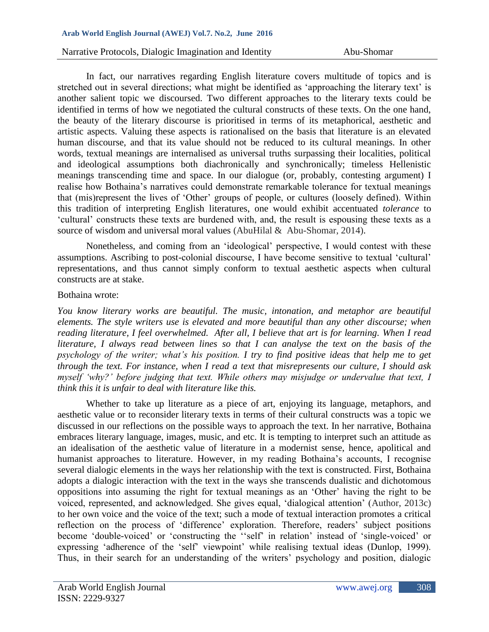#### **Arab World English Journal (AWEJ) Vol.7. No.2, June 2016**

### Narrative Protocols, Dialogic Imagination and Identity Abu-Shomar

In fact, our narratives regarding English literature covers multitude of topics and is stretched out in several directions; what might be identified as 'approaching the literary text' is another salient topic we discoursed. Two different approaches to the literary texts could be identified in terms of how we negotiated the cultural constructs of these texts. On the one hand, the beauty of the literary discourse is prioritised in terms of its metaphorical, aesthetic and artistic aspects. Valuing these aspects is rationalised on the basis that literature is an elevated human discourse, and that its value should not be reduced to its cultural meanings. In other words, textual meanings are internalised as universal truths surpassing their localities, political and ideological assumptions both diachronically and synchronically; timeless Hellenistic meanings transcending time and space. In our dialogue (or, probably, contesting argument) I realise how Bothaina's narratives could demonstrate remarkable tolerance for textual meanings that (mis)represent the lives of 'Other' groups of people, or cultures (loosely defined). Within this tradition of interpreting English literatures, one would exhibit accentuated *tolerance* to 'cultural' constructs these texts are burdened with, and, the result is espousing these texts as a source of wisdom and universal moral values (AbuHilal & Abu-Shomar, 2014).

Nonetheless, and coming from an 'ideological' perspective, I would contest with these assumptions. Ascribing to post-colonial discourse, I have become sensitive to textual 'cultural' representations, and thus cannot simply conform to textual aesthetic aspects when cultural constructs are at stake.

### Bothaina wrote:

*You know literary works are beautiful. The music, intonation, and metaphor are beautiful elements. The style writers use is elevated and more beautiful than any other discourse; when reading literature, I feel overwhelmed. After all, I believe that art is for learning. When I read literature, I always read between lines so that I can analyse the text on the basis of the psychology of the writer; what's his position. I try to find positive ideas that help me to get through the text. For instance, when I read a text that misrepresents our culture, I should ask myself 'why?' before judging that text. While others may misjudge or undervalue that text, I think this it is unfair to deal with literature like this.* 

Whether to take up literature as a piece of art, enjoying its language, metaphors, and aesthetic value or to reconsider literary texts in terms of their cultural constructs was a topic we discussed in our reflections on the possible ways to approach the text. In her narrative, Bothaina embraces literary language, images, music, and etc. It is tempting to interpret such an attitude as an idealisation of the aesthetic value of literature in a modernist sense, hence, apolitical and humanist approaches to literature. However, in my reading Bothaina's accounts, I recognise several dialogic elements in the ways her relationship with the text is constructed. First, Bothaina adopts a dialogic interaction with the text in the ways she transcends dualistic and dichotomous oppositions into assuming the right for textual meanings as an 'Other' having the right to be voiced, represented, and acknowledged. She gives equal, 'dialogical attention' (Author, 2013c) to her own voice and the voice of the text; such a mode of textual interaction promotes a critical reflection on the process of 'difference' exploration. Therefore, readers' subject positions become 'double-voiced' or 'constructing the ''self' in relation' instead of 'single-voiced' or expressing 'adherence of the 'self' viewpoint' while realising textual ideas (Dunlop, 1999). Thus, in their search for an understanding of the writers' psychology and position, dialogic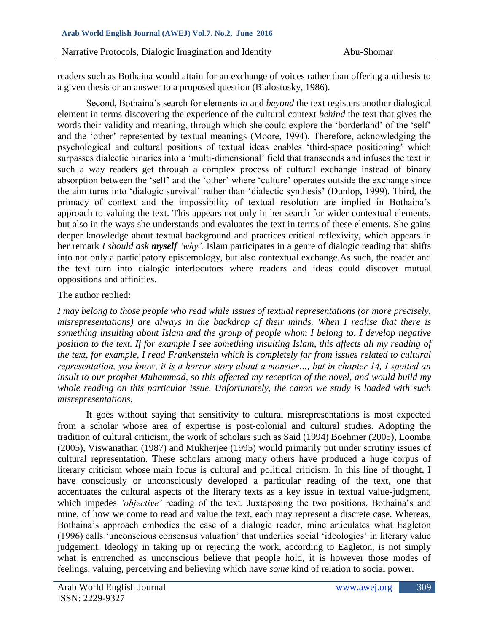readers such as Bothaina would attain for an exchange of voices rather than offering antithesis to a given thesis or an answer to a proposed question (Bialostosky, 1986).

Second, Bothaina's search for elements *in* and *beyond* the text registers another dialogical element in terms discovering the experience of the cultural context *behind* the text that gives the words their validity and meaning, through which she could explore the 'borderland' of the 'self' and the 'other' represented by textual meanings (Moore, 1994). Therefore, acknowledging the psychological and cultural positions of textual ideas enables 'third-space positioning' which surpasses dialectic binaries into a 'multi-dimensional' field that transcends and infuses the text in such a way readers get through a complex process of cultural exchange instead of binary absorption between the 'self' and the 'other' where 'culture' operates outside the exchange since the aim turns into 'dialogic survival' rather than 'dialectic synthesis' (Dunlop, 1999). Third, the primacy of context and the impossibility of textual resolution are implied in Bothaina's approach to valuing the text. This appears not only in her search for wider contextual elements, but also in the ways she understands and evaluates the text in terms of these elements. She gains deeper knowledge about textual background and practices critical reflexivity, which appears in her remark *I should ask myself 'why'.* Islam participates in a genre of dialogic reading that shifts into not only a participatory epistemology, but also contextual exchange.As such, the reader and the text turn into dialogic interlocutors where readers and ideas could discover mutual oppositions and affinities.

# The author replied:

*I may belong to those people who read while issues of textual representations (or more precisely, misrepresentations) are always in the backdrop of their minds. When I realise that there is something insulting about Islam and the group of people whom I belong to, I develop negative position to the text. If for example I see something insulting Islam, this affects all my reading of the text, for example, I read Frankenstein which is completely far from issues related to cultural representation, you know, it is a horror story about a monster…, but in chapter 14, I spotted an insult to our prophet Muhammad, so this affected my reception of the novel, and would build my whole reading on this particular issue. Unfortunately, the canon we study is loaded with such misrepresentations.* 

It goes without saying that sensitivity to cultural misrepresentations is most expected from a scholar whose area of expertise is post-colonial and cultural studies. Adopting the tradition of cultural criticism, the work of scholars such as Said (1994) Boehmer (2005), Loomba (2005), Viswanathan (1987) and Mukherjee (1995) would primarily put under scrutiny issues of cultural representation. These scholars among many others have produced a huge corpus of literary criticism whose main focus is cultural and political criticism. In this line of thought, I have consciously or unconsciously developed a particular reading of the text, one that accentuates the cultural aspects of the literary texts as a key issue in textual value-judgment, which impedes *'objective'* reading of the text. Juxtaposing the two positions, Bothaina's and mine, of how we come to read and value the text, each may represent a discrete case. Whereas, Bothaina's approach embodies the case of a dialogic reader, mine articulates what Eagleton (1996) calls 'unconscious consensus valuation' that underlies social 'ideologies' in literary value judgement. Ideology in taking up or rejecting the work, according to Eagleton, is not simply what is entrenched as unconscious believe that people hold, it is however those modes of feelings, valuing, perceiving and believing which have *some* kind of relation to social power.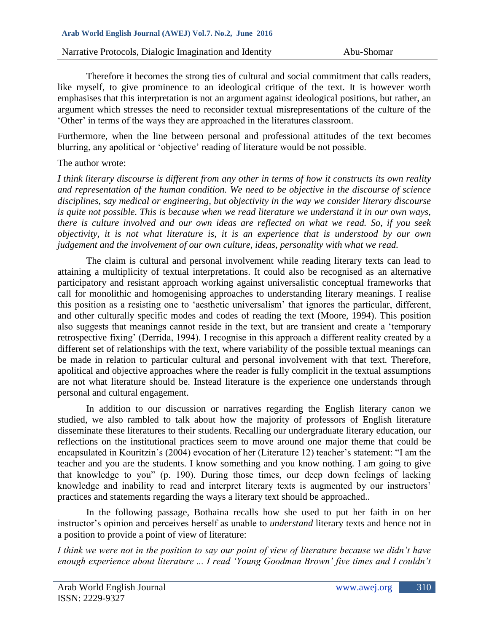Therefore it becomes the strong ties of cultural and social commitment that calls readers, like myself, to give prominence to an ideological critique of the text. It is however worth emphasises that this interpretation is not an argument against ideological positions, but rather, an argument which stresses the need to reconsider textual misrepresentations of the culture of the 'Other' in terms of the ways they are approached in the literatures classroom.

Furthermore, when the line between personal and professional attitudes of the text becomes blurring, any apolitical or 'objective' reading of literature would be not possible.

## The author wrote:

*I think literary discourse is different from any other in terms of how it constructs its own reality and representation of the human condition. We need to be objective in the discourse of science disciplines, say medical or engineering, but objectivity in the way we consider literary discourse is quite not possible. This is because when we read literature we understand it in our own ways, there is culture involved and our own ideas are reflected on what we read. So, if you seek objectivity, it is not what literature is, it is an experience that is understood by our own judgement and the involvement of our own culture, ideas, personality with what we read.*

The claim is cultural and personal involvement while reading literary texts can lead to attaining a multiplicity of textual interpretations. It could also be recognised as an alternative participatory and resistant approach working against universalistic conceptual frameworks that call for monolithic and homogenising approaches to understanding literary meanings. I realise this position as a resisting one to 'aesthetic universalism' that ignores the particular, different, and other culturally specific modes and codes of reading the text (Moore, 1994). This position also suggests that meanings cannot reside in the text, but are transient and create a 'temporary retrospective fixing' (Derrida, 1994). I recognise in this approach a different reality created by a different set of relationships with the text, where variability of the possible textual meanings can be made in relation to particular cultural and personal involvement with that text. Therefore, apolitical and objective approaches where the reader is fully complicit in the textual assumptions are not what literature should be. Instead literature is the experience one understands through personal and cultural engagement.

In addition to our discussion or narratives regarding the English literary canon we studied, we also rambled to talk about how the majority of professors of English literature disseminate these literatures to their students. Recalling our undergraduate literary education, our reflections on the institutional practices seem to move around one major theme that could be encapsulated in Kouritzin's (2004) evocation of her (Literature 12) teacher's statement: "I am the teacher and you are the students. I know something and you know nothing. I am going to give that knowledge to you" (p. 190). During those times, our deep down feelings of lacking knowledge and inability to read and interpret literary texts is augmented by our instructors' practices and statements regarding the ways a literary text should be approached..

In the following passage, Bothaina recalls how she used to put her faith in on her instructor's opinion and perceives herself as unable to *understand* literary texts and hence not in a position to provide a point of view of literature:

*I think we were not in the position to say our point of view of literature because we didn't have enough experience about literature ... I read 'Young Goodman Brown' five times and I couldn't*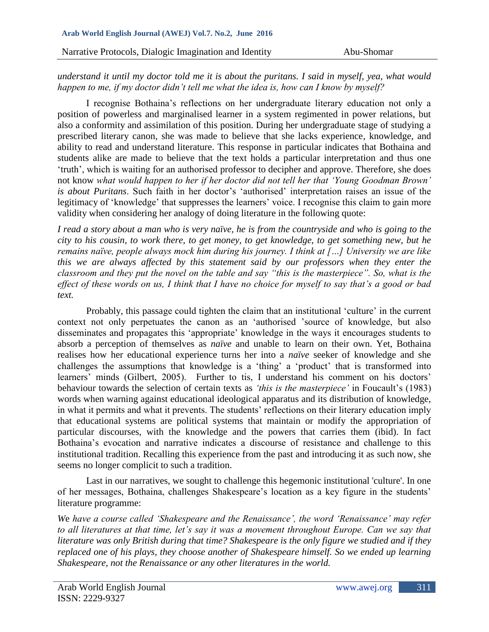*understand it until my doctor told me it is about the puritans. I said in myself, yea, what would happen to me, if my doctor didn't tell me what the idea is, how can I know by myself?*

I recognise Bothaina's reflections on her undergraduate literary education not only a position of powerless and marginalised learner in a system regimented in power relations, but also a conformity and assimilation of this position. During her undergraduate stage of studying a prescribed literary canon, she was made to believe that she lacks experience, knowledge, and ability to read and understand literature. This response in particular indicates that Bothaina and students alike are made to believe that the text holds a particular interpretation and thus one 'truth', which is waiting for an authorised professor to decipher and approve. Therefore, she does not know *what would happen to her if her doctor did not tell her that 'Young Goodman Brown' is about Puritans*. Such faith in her doctor's 'authorised' interpretation raises an issue of the legitimacy of 'knowledge' that suppresses the learners' voice. I recognise this claim to gain more validity when considering her analogy of doing literature in the following quote:

*I read a story about a man who is very naïve, he is from the countryside and who is going to the city to his cousin, to work there, to get money, to get knowledge, to get something new, but he remains naïve, people always mock him during his journey. I think at […] University we are like this we are always affected by this statement said by our professors when they enter the classroom and they put the novel on the table and say "this is the masterpiece". So, what is the effect of these words on us, I think that I have no choice for myself to say that's a good or bad text.*

Probably, this passage could tighten the claim that an institutional 'culture' in the current context not only perpetuates the canon as an 'authorised 'source of knowledge, but also disseminates and propagates this 'appropriate' knowledge in the ways it encourages students to absorb a perception of themselves as *naïve* and unable to learn on their own. Yet, Bothaina realises how her educational experience turns her into a *naïve* seeker of knowledge and she challenges the assumptions that knowledge is a 'thing' a 'product' that is transformed into learners' minds (Gilbert, 2005). Further to tis, I understand his comment on his doctors' behaviour towards the selection of certain texts as *'this is the masterpiece'* in Foucault's (1983) words when warning against educational ideological apparatus and its distribution of knowledge, in what it permits and what it prevents. The students' reflections on their literary education imply that educational systems are political systems that maintain or modify the appropriation of particular discourses, with the knowledge and the powers that carries them (ibid). In fact Bothaina's evocation and narrative indicates a discourse of resistance and challenge to this institutional tradition. Recalling this experience from the past and introducing it as such now, she seems no longer complicit to such a tradition.

Last in our narratives, we sought to challenge this hegemonic institutional 'culture'. In one of her messages, Bothaina, challenges Shakespeare's location as a key figure in the students' literature programme:

*W*e *have a course called 'Shakespeare and the Renaissance', the word 'Renaissance' may refer to all literatures at that time, let's say it was a movement throughout Europe. Can we say that literature was only British during that time? Shakespeare is the only figure we studied and if they replaced one of his plays, they choose another of Shakespeare himself. So we ended up learning Shakespeare, not the Renaissance or any other literatures in the world.*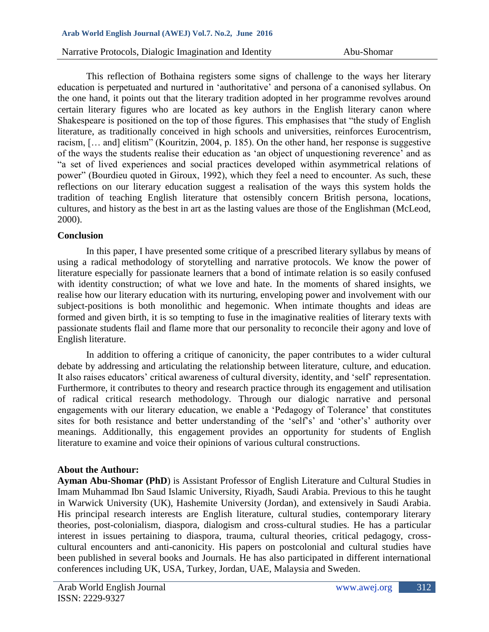### **Arab World English Journal (AWEJ) Vol.7. No.2, June 2016**

Narrative Protocols, Dialogic Imagination and Identity Abu-Shomar

This reflection of Bothaina registers some signs of challenge to the ways her literary education is perpetuated and nurtured in 'authoritative' and persona of a canonised syllabus. On the one hand, it points out that the literary tradition adopted in her programme revolves around certain literary figures who are located as key authors in the English literary canon where Shakespeare is positioned on the top of those figures. This emphasises that "the study of English literature, as traditionally conceived in high schools and universities, reinforces Eurocentrism, racism, [… and] elitism" (Kouritzin, 2004, p. 185). On the other hand, her response is suggestive of the ways the students realise their education as 'an object of unquestioning reverence' and as "a set of lived experiences and social practices developed within asymmetrical relations of power" (Bourdieu quoted in Giroux, 1992), which they feel a need to encounter. As such, these reflections on our literary education suggest a realisation of the ways this system holds the tradition of teaching English literature that ostensibly concern British persona, locations, cultures, and history as the best in art as the lasting values are those of the Englishman (McLeod, 2000).

## **Conclusion**

In this paper, I have presented some critique of a prescribed literary syllabus by means of using a radical methodology of storytelling and narrative protocols. We know the power of literature especially for passionate learners that a bond of intimate relation is so easily confused with identity construction; of what we love and hate. In the moments of shared insights, we realise how our literary education with its nurturing, enveloping power and involvement with our subject-positions is both monolithic and hegemonic. When intimate thoughts and ideas are formed and given birth, it is so tempting to fuse in the imaginative realities of literary texts with passionate students flail and flame more that our personality to reconcile their agony and love of English literature.

In addition to offering a critique of canonicity, the paper contributes to a wider cultural debate by addressing and articulating the relationship between literature, culture, and education. It also raises educators' critical awareness of cultural diversity, identity, and 'self' representation. Furthermore, it contributes to theory and research practice through its engagement and utilisation of radical critical research methodology. Through our dialogic narrative and personal engagements with our literary education, we enable a 'Pedagogy of Tolerance' that constitutes sites for both resistance and better understanding of the 'self's' and 'other's' authority over meanings. Additionally, this engagement provides an opportunity for students of English literature to examine and voice their opinions of various cultural constructions.

### **About the Authour:**

**Ayman Abu-Shomar (PhD**) is Assistant Professor of English Literature and Cultural Studies in Imam Muhammad Ibn Saud Islamic University, Riyadh, Saudi Arabia. Previous to this he taught in Warwick University (UK), Hashemite University (Jordan), and extensively in Saudi Arabia. His principal research interests are English literature, cultural studies, contemporary literary theories, post-colonialism, diaspora, dialogism and cross-cultural studies. He has a particular interest in issues pertaining to diaspora, trauma, cultural theories, critical pedagogy, crosscultural encounters and anti-canonicity. His papers on postcolonial and cultural studies have been published in several books and Journals. He has also participated in different international conferences including UK, USA, Turkey, Jordan, UAE, Malaysia and Sweden.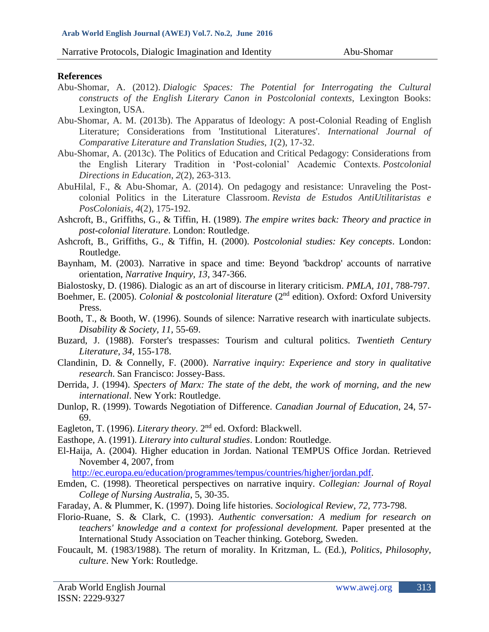## **References**

- Abu-Shomar, A. (2012). *Dialogic Spaces: The Potential for Interrogating the Cultural constructs of the English Literary Canon in Postcolonial contexts*, Lexington Books: Lexington, USA.
- Abu-Shomar, A. M. (2013b). The Apparatus of Ideology: A post-Colonial Reading of English Literature; Considerations from 'Institutional Literatures'. *International Journal of Comparative Literature and Translation Studies*, *1*(2), 17-32.
- Abu-Shomar, A. (2013c). The Politics of Education and Critical Pedagogy: Considerations from the English Literary Tradition in 'Post-colonial' Academic Contexts. *Postcolonial Directions in Education*, *2*(2), 263-313.
- AbuHilal, F., & Abu-Shomar, A. (2014). On pedagogy and resistance: Unraveling the Postcolonial Politics in the Literature Classroom. *Revista de Estudos AntiUtilitaristas e PosColoniais*, *4*(2), 175-192.
- Ashcroft, B., Griffiths, G., & Tiffin, H. (1989). *The empire writes back: Theory and practice in post-colonial literature*. London: Routledge.
- Ashcroft, B., Griffiths, G., & Tiffin, H. (2000). *Postcolonial studies: Key concepts*. London: Routledge.
- Baynham, M. (2003). Narrative in space and time: Beyond 'backdrop' accounts of narrative orientation, *Narrative Inquiry, 13,* 347-366.
- Bialostosky, D. (1986). Dialogic as an art of discourse in literary criticism. *PMLA, 101*, 788-797.
- Boehmer, E. (2005). *Colonial & postcolonial literature* (2nd edition). Oxford: Oxford University Press.
- Booth, T., & Booth, W. (1996). Sounds of silence: Narrative research with inarticulate subjects. *Disability & Society, 11,* 55-69.
- Buzard, J. (1988). Forster's trespasses: Tourism and cultural politics. *Twentieth Century Literature, 34,* 155-178.
- Clandinin, D. & Connelly, F. (2000). *Narrative inquiry: Experience and story in qualitative research*. San Francisco: Jossey-Bass.
- Derrida, J. (1994). *Specters of Marx: The state of the debt, the work of morning, and the new international*. New York: Routledge.
- Dunlop, R. (1999). Towards Negotiation of Difference. *Canadian Journal of Education*, 24, 57- 69.
- Eagleton, T. (1996). *Literary theory*. 2nd ed. Oxford: Blackwell.
- Easthope, A. (1991). *Literary into cultural studies*. London: Routledge.
- El-Haija, A. (2004). Higher education in Jordan. National TEMPUS Office Jordan. Retrieved November 4, 2007, from
	- [http://ec.europa.eu/education/programmes/tempus/countries/higher/jordan.pdf.](http://ec.europa.eu/education/programmes/tempus/countries/higher/jordan.pdf)
- Emden, C. (1998). Theoretical perspectives on narrative inquiry. *Collegian: Journal of Royal College of Nursing Australia*, 5, 30-35.
- Faraday, A. & Plummer, K. (1997). Doing life histories. *Sociological Review*, *72,* 773-798.
- Florio-Ruane, S. & Clark, C. (1993). *Authentic conversation: A medium for research on teachers' knowledge and a context for professional development.* Paper presented at the International Study Association on Teacher thinking. Goteborg, Sweden.
- Foucault, M. (1983/1988). The return of morality. In Kritzman, L. (Ed.), *Politics, Philosophy, culture*. New York: Routledge.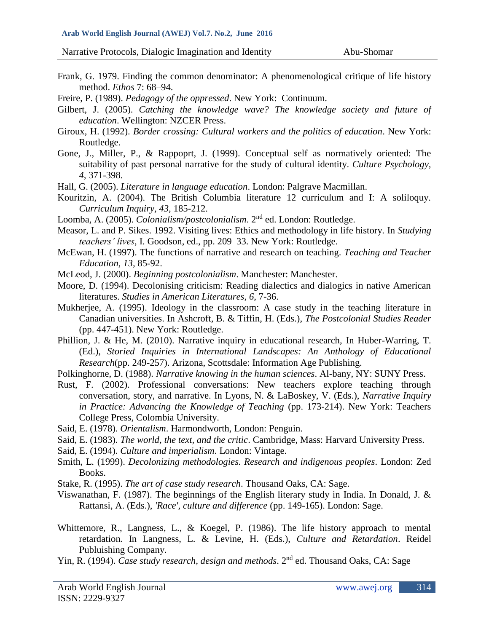- Frank, G. 1979. Finding the common denominator: A phenomenological critique of life history method. *Ethos* 7: 68–94.
- Freire, P. (1989). *Pedagogy of the oppressed*. New York: Continuum.
- Gilbert, J. (2005). *Catching the knowledge wave? The knowledge society and future of education*. Wellington: NZCER Press.
- Giroux, H. (1992). *Border crossing: Cultural workers and the politics of education*. New York: Routledge.
- Gone, J., Miller, P., & Rappoprt, J. (1999). Conceptual self as normatively oriented: The suitability of past personal narrative for the study of cultural identity. *Culture Psychology, 4,* 371-398.
- Hall, G. (2005). *Literature in language education*. London: Palgrave Macmillan.
- Kouritzin, A. (2004). The British Columbia literature 12 curriculum and I: A soliloquy. *Curriculum Inquiry, 43,* 185-212.

Loomba, A. (2005). *Colonialism/postcolonialism*. 2nd ed. London: Routledge.

- Measor, L. and P. Sikes. 1992. Visiting lives: Ethics and methodology in life history. In *Studying teachers' lives*, I. Goodson, ed., pp. 209–33. New York: Routledge.
- McEwan, H. (1997). The functions of narrative and research on teaching. *Teaching and Teacher Education, 13,* 85-92.
- McLeod, J. (2000). *Beginning postcolonialism*. Manchester: Manchester.
- Moore, D. (1994). Decolonising criticism: Reading dialectics and dialogics in native American literatures. *Studies in American Literatures*, *6*, 7-36.
- Mukherjee, A. (1995). Ideology in the classroom: A case study in the teaching literature in Canadian universities. In Ashcroft, B. & Tiffin, H. (Eds.), *The Postcolonial Studies Reader* (pp. 447-451). New York: Routledge.
- Phillion, J. & He, M. (2010). Narrative inquiry in educational research, In Huber-Warring, T. (Ed.), *Storied Inquiries in International Landscapes: An Anthology of Educational Research*(pp. 249-257). Arizona, Scottsdale: Information Age Publishing.
- Polkinghorne, D. (1988). *Narrative knowing in the human sciences*. Al-bany, NY: SUNY Press.
- Rust, F. (2002). Professional conversations: New teachers explore teaching through conversation, story, and narrative. In Lyons, N. & LaBoskey, V. (Eds.), *Narrative Inquiry in Practice: Advancing the Knowledge of Teaching* (pp. 173-214). New York: Teachers College Press, Colombia University.
- Said, E. (1978). *Orientalism*. Harmondworth, London: Penguin.
- Said, E. (1983). *The world, the text, and the critic*. Cambridge, Mass: Harvard University Press.
- Said, E. (1994). *Culture and imperialism*. London: Vintage.
- Smith, L. (1999). *Decolonizing methodologies. Research and indigenous peoples*. London: Zed Books.
- Stake, R. (1995). *The art of case study research*. Thousand Oaks, CA: Sage.
- Viswanathan, F. (1987). The beginnings of the English literary study in India. In Donald, J. & Rattansi, A. (Eds.), *'Race', culture and difference* (pp. 149-165). London: Sage.
- Whittemore, R., Langness, L., & Koegel, P. (1986). The life history approach to mental retardation. In Langness, L. & Levine, H. (Eds.), *Culture and Retardation*. Reidel Publuishing Company.
- Yin, R. (1994). *Case study research, design and methods*. 2<sup>nd</sup> ed. Thousand Oaks, CA: Sage